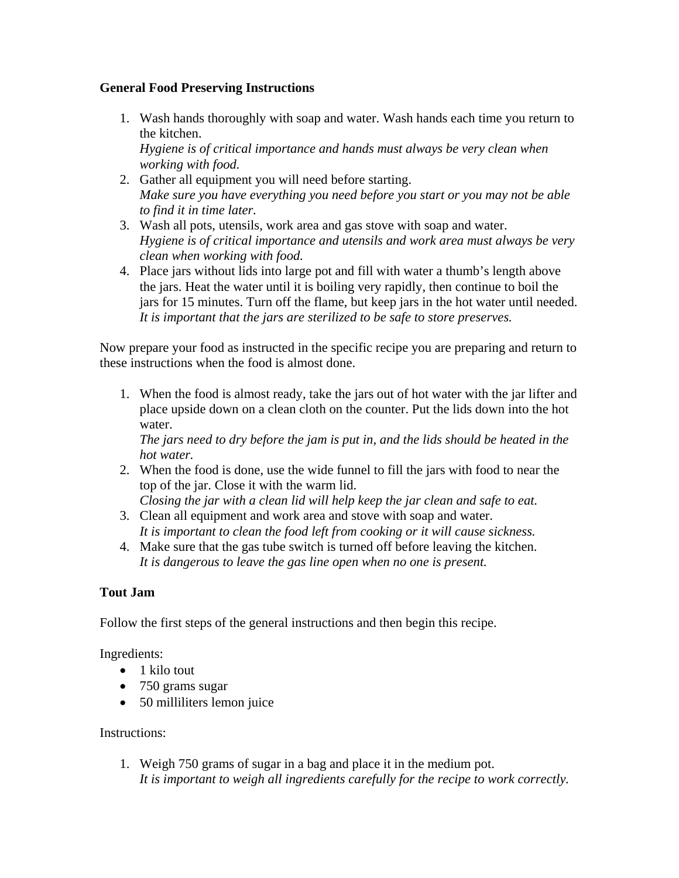## **General Food Preserving Instructions**

1. Wash hands thoroughly with soap and water. Wash hands each time you return to the kitchen.

*Hygiene is of critical importance and hands must always be very clean when working with food.*

- 2. Gather all equipment you will need before starting. *Make sure you have everything you need before you start or you may not be able to find it in time later.*
- 3. Wash all pots, utensils, work area and gas stove with soap and water. *Hygiene is of critical importance and utensils and work area must always be very clean when working with food.*
- 4. Place jars without lids into large pot and fill with water a thumb's length above the jars. Heat the water until it is boiling very rapidly, then continue to boil the jars for 15 minutes. Turn off the flame, but keep jars in the hot water until needed. *It is important that the jars are sterilized to be safe to store preserves.*

Now prepare your food as instructed in the specific recipe you are preparing and return to these instructions when the food is almost done.

1. When the food is almost ready, take the jars out of hot water with the jar lifter and place upside down on a clean cloth on the counter. Put the lids down into the hot water.

*The jars need to dry before the jam is put in, and the lids should be heated in the hot water.*

2. When the food is done, use the wide funnel to fill the jars with food to near the top of the jar. Close it with the warm lid.

*Closing the jar with a clean lid will help keep the jar clean and safe to eat.*

- 3. Clean all equipment and work area and stove with soap and water. *It is important to clean the food left from cooking or it will cause sickness.*
- 4. Make sure that the gas tube switch is turned off before leaving the kitchen. *It is dangerous to leave the gas line open when no one is present.*

## **Tout Jam**

Follow the first steps of the general instructions and then begin this recipe.

## Ingredients:

- 1 kilo tout
- 750 grams sugar
- 50 milliliters lemon juice

## Instructions:

1. Weigh 750 grams of sugar in a bag and place it in the medium pot. *It is important to weigh all ingredients carefully for the recipe to work correctly.*